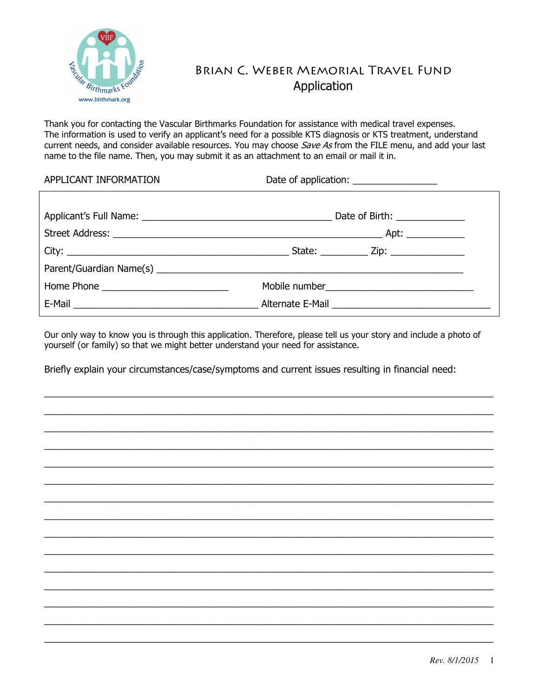

## Brian C. Weber Memorial Travel Fund Application

Thank you for contacting the Vascular Birthmarks Foundation for assistance with medical travel expenses. The information is used to verify an applicant's need for a possible KTS diagnosis or KTS treatment, understand current needs, and consider available resources. You may choose Save As from the FILE menu, and add your last name to the file name. Then, you may submit it as an attachment to an email or mail it in.

APPLICANT INFORMATION Date of application:

| Date of Birth: ______________ |  |  |
|-------------------------------|--|--|
|                               |  |  |
|                               |  |  |
|                               |  |  |
|                               |  |  |
|                               |  |  |

Our only way to know you is through this application. Therefore, please tell us your story and include a photo of yourself (or family) so that we might better understand your need for assistance.

\_\_\_\_\_\_\_\_\_\_\_\_\_\_\_\_\_\_\_\_\_\_\_\_\_\_\_\_\_\_\_\_\_\_\_\_\_\_\_\_\_\_\_\_\_\_\_\_\_\_\_\_\_\_\_\_\_\_\_\_\_\_\_\_\_\_\_\_\_\_\_\_\_\_\_\_\_\_\_\_\_\_\_\_\_ \_\_\_\_\_\_\_\_\_\_\_\_\_\_\_\_\_\_\_\_\_\_\_\_\_\_\_\_\_\_\_\_\_\_\_\_\_\_\_\_\_\_\_\_\_\_\_\_\_\_\_\_\_\_\_\_\_\_\_\_\_\_\_\_\_\_\_\_\_\_\_\_\_\_\_\_\_\_\_\_\_\_\_\_\_ \_\_\_\_\_\_\_\_\_\_\_\_\_\_\_\_\_\_\_\_\_\_\_\_\_\_\_\_\_\_\_\_\_\_\_\_\_\_\_\_\_\_\_\_\_\_\_\_\_\_\_\_\_\_\_\_\_\_\_\_\_\_\_\_\_\_\_\_\_\_\_\_\_\_\_\_\_\_\_\_\_\_\_\_\_ \_\_\_\_\_\_\_\_\_\_\_\_\_\_\_\_\_\_\_\_\_\_\_\_\_\_\_\_\_\_\_\_\_\_\_\_\_\_\_\_\_\_\_\_\_\_\_\_\_\_\_\_\_\_\_\_\_\_\_\_\_\_\_\_\_\_\_\_\_\_\_\_\_\_\_\_\_\_\_\_\_\_\_\_\_ \_\_\_\_\_\_\_\_\_\_\_\_\_\_\_\_\_\_\_\_\_\_\_\_\_\_\_\_\_\_\_\_\_\_\_\_\_\_\_\_\_\_\_\_\_\_\_\_\_\_\_\_\_\_\_\_\_\_\_\_\_\_\_\_\_\_\_\_\_\_\_\_\_\_\_\_\_\_\_\_\_\_\_\_\_  $\_$  , and the set of the set of the set of the set of the set of the set of the set of the set of the set of the set of the set of the set of the set of the set of the set of the set of the set of the set of the set of th  $\_$  , and the set of the set of the set of the set of the set of the set of the set of the set of the set of the set of the set of the set of the set of the set of the set of the set of the set of the set of the set of th \_\_\_\_\_\_\_\_\_\_\_\_\_\_\_\_\_\_\_\_\_\_\_\_\_\_\_\_\_\_\_\_\_\_\_\_\_\_\_\_\_\_\_\_\_\_\_\_\_\_\_\_\_\_\_\_\_\_\_\_\_\_\_\_\_\_\_\_\_\_\_\_\_\_\_\_\_\_\_\_\_\_\_\_\_ \_\_\_\_\_\_\_\_\_\_\_\_\_\_\_\_\_\_\_\_\_\_\_\_\_\_\_\_\_\_\_\_\_\_\_\_\_\_\_\_\_\_\_\_\_\_\_\_\_\_\_\_\_\_\_\_\_\_\_\_\_\_\_\_\_\_\_\_\_\_\_\_\_\_\_\_\_\_\_\_\_\_\_\_\_ \_\_\_\_\_\_\_\_\_\_\_\_\_\_\_\_\_\_\_\_\_\_\_\_\_\_\_\_\_\_\_\_\_\_\_\_\_\_\_\_\_\_\_\_\_\_\_\_\_\_\_\_\_\_\_\_\_\_\_\_\_\_\_\_\_\_\_\_\_\_\_\_\_\_\_\_\_\_\_\_\_\_\_\_\_ \_\_\_\_\_\_\_\_\_\_\_\_\_\_\_\_\_\_\_\_\_\_\_\_\_\_\_\_\_\_\_\_\_\_\_\_\_\_\_\_\_\_\_\_\_\_\_\_\_\_\_\_\_\_\_\_\_\_\_\_\_\_\_\_\_\_\_\_\_\_\_\_\_\_\_\_\_\_\_\_\_\_\_\_\_ \_\_\_\_\_\_\_\_\_\_\_\_\_\_\_\_\_\_\_\_\_\_\_\_\_\_\_\_\_\_\_\_\_\_\_\_\_\_\_\_\_\_\_\_\_\_\_\_\_\_\_\_\_\_\_\_\_\_\_\_\_\_\_\_\_\_\_\_\_\_\_\_\_\_\_\_\_\_\_\_\_\_\_\_\_ \_\_\_\_\_\_\_\_\_\_\_\_\_\_\_\_\_\_\_\_\_\_\_\_\_\_\_\_\_\_\_\_\_\_\_\_\_\_\_\_\_\_\_\_\_\_\_\_\_\_\_\_\_\_\_\_\_\_\_\_\_\_\_\_\_\_\_\_\_\_\_\_\_\_\_\_\_\_\_\_\_\_\_\_\_  $\_$  , and the set of the set of the set of the set of the set of the set of the set of the set of the set of the set of the set of the set of the set of the set of the set of the set of the set of the set of the set of th  $\_$  , and the set of the set of the set of the set of the set of the set of the set of the set of the set of the set of the set of the set of the set of the set of the set of the set of the set of the set of the set of th

Briefly explain your circumstances/case/symptoms and current issues resulting in financial need: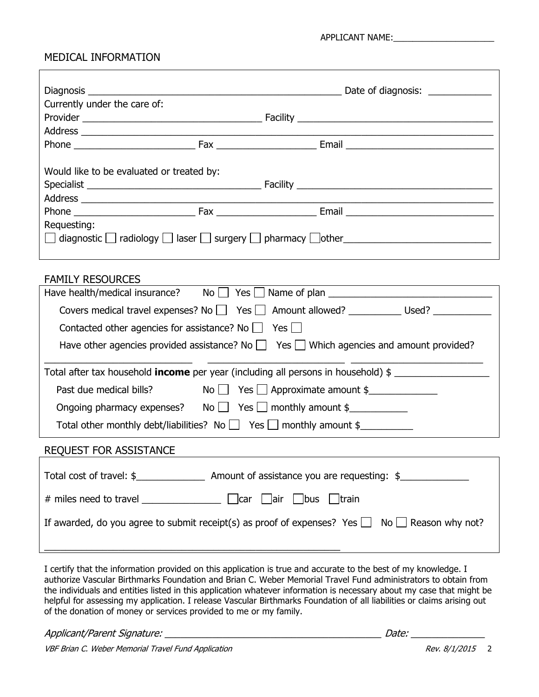## MEDICAL INFORMATION

 $\Gamma$ 

| Diagnosis and the control of the control of the control of the control of the control of the control of the control of the control of the control of the control of the control of the control of the control of the control o                                                                                                                                                                                                                                              |  |  |  |  |  |
|-----------------------------------------------------------------------------------------------------------------------------------------------------------------------------------------------------------------------------------------------------------------------------------------------------------------------------------------------------------------------------------------------------------------------------------------------------------------------------|--|--|--|--|--|
| Currently under the care of:                                                                                                                                                                                                                                                                                                                                                                                                                                                |  |  |  |  |  |
|                                                                                                                                                                                                                                                                                                                                                                                                                                                                             |  |  |  |  |  |
|                                                                                                                                                                                                                                                                                                                                                                                                                                                                             |  |  |  |  |  |
|                                                                                                                                                                                                                                                                                                                                                                                                                                                                             |  |  |  |  |  |
|                                                                                                                                                                                                                                                                                                                                                                                                                                                                             |  |  |  |  |  |
| Would like to be evaluated or treated by:                                                                                                                                                                                                                                                                                                                                                                                                                                   |  |  |  |  |  |
|                                                                                                                                                                                                                                                                                                                                                                                                                                                                             |  |  |  |  |  |
|                                                                                                                                                                                                                                                                                                                                                                                                                                                                             |  |  |  |  |  |
|                                                                                                                                                                                                                                                                                                                                                                                                                                                                             |  |  |  |  |  |
| Requesting:                                                                                                                                                                                                                                                                                                                                                                                                                                                                 |  |  |  |  |  |
| $\Box$ diagnostic $\Box$ radiology $\Box$ laser $\Box$ surgery $\Box$ pharmacy $\Box$ other $\Box$                                                                                                                                                                                                                                                                                                                                                                          |  |  |  |  |  |
|                                                                                                                                                                                                                                                                                                                                                                                                                                                                             |  |  |  |  |  |
|                                                                                                                                                                                                                                                                                                                                                                                                                                                                             |  |  |  |  |  |
| <b>FAMILY RESOURCES</b>                                                                                                                                                                                                                                                                                                                                                                                                                                                     |  |  |  |  |  |
|                                                                                                                                                                                                                                                                                                                                                                                                                                                                             |  |  |  |  |  |
| Covers medical travel expenses? No Yes Amount allowed? _______________ Used? _______________________                                                                                                                                                                                                                                                                                                                                                                        |  |  |  |  |  |
| Contacted other agencies for assistance? No $\Box$ Yes $\Box$                                                                                                                                                                                                                                                                                                                                                                                                               |  |  |  |  |  |
| Have other agencies provided assistance? No $\Box$ Yes $\Box$ Which agencies and amount provided?                                                                                                                                                                                                                                                                                                                                                                           |  |  |  |  |  |
|                                                                                                                                                                                                                                                                                                                                                                                                                                                                             |  |  |  |  |  |
| Total after tax household <b>income</b> per year (including all persons in household) \$                                                                                                                                                                                                                                                                                                                                                                                    |  |  |  |  |  |
| Past due medical bills? $\begin{array}{c} \text{No} \quad \text{Yes} \quad \text{Approximate amount } \text{\$} \quad \text{S} \quad \text{S} \quad \text{S} \quad \text{S} \quad \text{S} \quad \text{S} \quad \text{S} \quad \text{S} \quad \text{S} \quad \text{S} \quad \text{S} \quad \text{S} \quad \text{S} \quad \text{S} \quad \text{S} \quad \text{S} \quad \text{S} \quad \text{S} \quad \text{S} \quad \text{S} \quad \text{S} \quad \text{S} \quad \text{S} \$ |  |  |  |  |  |
| Ongoing pharmacy expenses? No $\Box$ Yes $\Box$ monthly amount \$                                                                                                                                                                                                                                                                                                                                                                                                           |  |  |  |  |  |
| Total other monthly debt/liabilities? No $\Box$ Yes $\Box$ monthly amount \$                                                                                                                                                                                                                                                                                                                                                                                                |  |  |  |  |  |
|                                                                                                                                                                                                                                                                                                                                                                                                                                                                             |  |  |  |  |  |
| <b>REQUEST FOR ASSISTANCE</b>                                                                                                                                                                                                                                                                                                                                                                                                                                               |  |  |  |  |  |
|                                                                                                                                                                                                                                                                                                                                                                                                                                                                             |  |  |  |  |  |
|                                                                                                                                                                                                                                                                                                                                                                                                                                                                             |  |  |  |  |  |
|                                                                                                                                                                                                                                                                                                                                                                                                                                                                             |  |  |  |  |  |
| If awarded, do you agree to submit receipt(s) as proof of expenses? Yes $\Box$ No $\Box$ Reason why not?                                                                                                                                                                                                                                                                                                                                                                    |  |  |  |  |  |
|                                                                                                                                                                                                                                                                                                                                                                                                                                                                             |  |  |  |  |  |
|                                                                                                                                                                                                                                                                                                                                                                                                                                                                             |  |  |  |  |  |

I certify that the information provided on this application is true and accurate to the best of my knowledge. I authorize Vascular Birthmarks Foundation and Brian C. Weber Memorial Travel Fund administrators to obtain from the individuals and entities listed in this application whatever information is necessary about my case that might be helpful for assessing my application. I release Vascular Birthmarks Foundation of all liabilities or claims arising out of the donation of money or services provided to me or my family.

Applicant/Parent Signature: \_\_\_\_\_\_\_\_\_\_\_\_\_\_\_\_\_\_\_\_\_\_\_\_\_\_\_\_\_\_\_\_\_\_\_\_\_\_\_\_\_ Date: \_\_\_\_\_\_\_\_\_\_\_\_\_\_

VBF Brian C. Weber Memorial Travel Fund Application Nevertheless Control Control of Rev. 8/1/2015 2